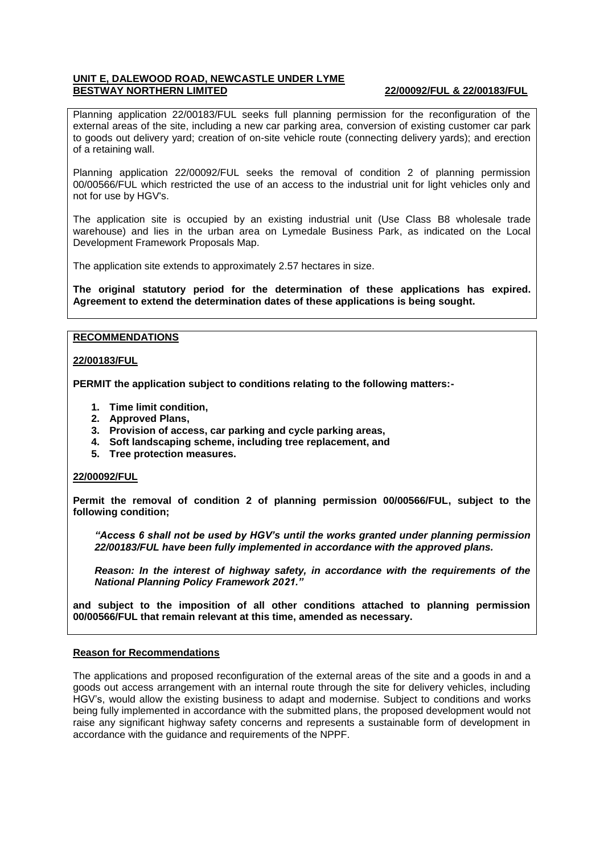# **UNIT E, DALEWOOD ROAD, NEWCASTLE UNDER LYME BESTWAY NORTHERN LIMITED 22/00092/FUL & 22/00183/FUL**

Planning application 22/00183/FUL seeks full planning permission for the reconfiguration of the external areas of the site, including a new car parking area, conversion of existing customer car park to goods out delivery yard; creation of on-site vehicle route (connecting delivery yards); and erection of a retaining wall.

Planning application 22/00092/FUL seeks the removal of condition 2 of planning permission 00/00566/FUL which restricted the use of an access to the industrial unit for light vehicles only and not for use by HGV's.

The application site is occupied by an existing industrial unit (Use Class B8 wholesale trade warehouse) and lies in the urban area on Lymedale Business Park, as indicated on the Local Development Framework Proposals Map.

The application site extends to approximately 2.57 hectares in size.

**The original statutory period for the determination of these applications has expired. Agreement to extend the determination dates of these applications is being sought.**

# **RECOMMENDATIONS**

# **22/00183/FUL**

**PERMIT the application subject to conditions relating to the following matters:-**

- **1. Time limit condition,**
- **2. Approved Plans,**
- **3. Provision of access, car parking and cycle parking areas,**
- **4. Soft landscaping scheme, including tree replacement, and**
- **5. Tree protection measures.**

## **22/00092/FUL**

**Permit the removal of condition 2 of planning permission 00/00566/FUL, subject to the following condition;**

*"Access 6 shall not be used by HGV's until the works granted under planning permission 22/00183/FUL have been fully implemented in accordance with the approved plans.*

*Reason: In the interest of highway safety, in accordance with the requirements of the National Planning Policy Framework 2021."*

**and subject to the imposition of all other conditions attached to planning permission 00/00566/FUL that remain relevant at this time, amended as necessary.**

## **Reason for Recommendations**

The applications and proposed reconfiguration of the external areas of the site and a goods in and a goods out access arrangement with an internal route through the site for delivery vehicles, including HGV's, would allow the existing business to adapt and modernise. Subject to conditions and works being fully implemented in accordance with the submitted plans, the proposed development would not raise any significant highway safety concerns and represents a sustainable form of development in accordance with the guidance and requirements of the NPPF.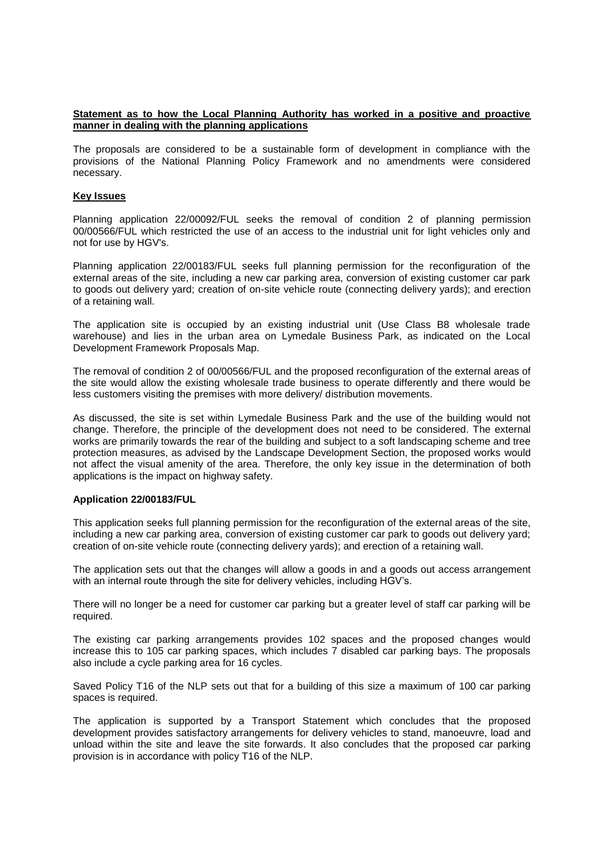# **Statement as to how the Local Planning Authority has worked in a positive and proactive manner in dealing with the planning applications**

The proposals are considered to be a sustainable form of development in compliance with the provisions of the National Planning Policy Framework and no amendments were considered necessary.

# **Key Issues**

Planning application 22/00092/FUL seeks the removal of condition 2 of planning permission 00/00566/FUL which restricted the use of an access to the industrial unit for light vehicles only and not for use by HGV's.

Planning application 22/00183/FUL seeks full planning permission for the reconfiguration of the external areas of the site, including a new car parking area, conversion of existing customer car park to goods out delivery yard; creation of on-site vehicle route (connecting delivery yards); and erection of a retaining wall.

The application site is occupied by an existing industrial unit (Use Class B8 wholesale trade warehouse) and lies in the urban area on Lymedale Business Park, as indicated on the Local Development Framework Proposals Map.

The removal of condition 2 of 00/00566/FUL and the proposed reconfiguration of the external areas of the site would allow the existing wholesale trade business to operate differently and there would be less customers visiting the premises with more delivery/ distribution movements.

As discussed, the site is set within Lymedale Business Park and the use of the building would not change. Therefore, the principle of the development does not need to be considered. The external works are primarily towards the rear of the building and subject to a soft landscaping scheme and tree protection measures, as advised by the Landscape Development Section, the proposed works would not affect the visual amenity of the area. Therefore, the only key issue in the determination of both applications is the impact on highway safety.

## **Application 22/00183/FUL**

This application seeks full planning permission for the reconfiguration of the external areas of the site, including a new car parking area, conversion of existing customer car park to goods out delivery yard; creation of on-site vehicle route (connecting delivery yards); and erection of a retaining wall.

The application sets out that the changes will allow a goods in and a goods out access arrangement with an internal route through the site for delivery vehicles, including HGV's.

There will no longer be a need for customer car parking but a greater level of staff car parking will be required.

The existing car parking arrangements provides 102 spaces and the proposed changes would increase this to 105 car parking spaces, which includes 7 disabled car parking bays. The proposals also include a cycle parking area for 16 cycles.

Saved Policy T16 of the NLP sets out that for a building of this size a maximum of 100 car parking spaces is required.

The application is supported by a Transport Statement which concludes that the proposed development provides satisfactory arrangements for delivery vehicles to stand, manoeuvre, load and unload within the site and leave the site forwards. It also concludes that the proposed car parking provision is in accordance with policy T16 of the NLP.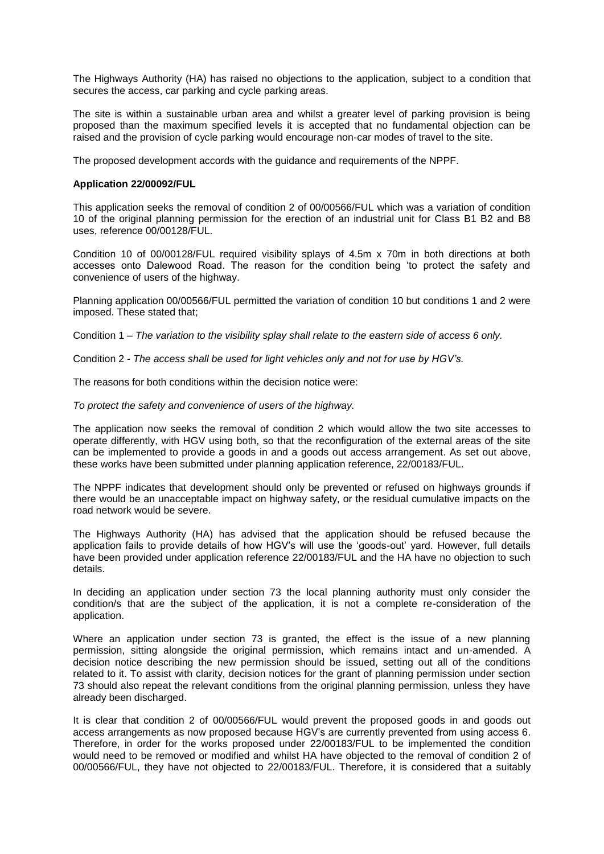The Highways Authority (HA) has raised no objections to the application, subject to a condition that secures the access, car parking and cycle parking areas.

The site is within a sustainable urban area and whilst a greater level of parking provision is being proposed than the maximum specified levels it is accepted that no fundamental objection can be raised and the provision of cycle parking would encourage non-car modes of travel to the site.

The proposed development accords with the guidance and requirements of the NPPF.

## **Application 22/00092/FUL**

This application seeks the removal of condition 2 of 00/00566/FUL which was a variation of condition 10 of the original planning permission for the erection of an industrial unit for Class B1 B2 and B8 uses, reference 00/00128/FUL.

Condition 10 of 00/00128/FUL required visibility splays of 4.5m x 70m in both directions at both accesses onto Dalewood Road. The reason for the condition being 'to protect the safety and convenience of users of the highway.

Planning application 00/00566/FUL permitted the variation of condition 10 but conditions 1 and 2 were imposed. These stated that;

Condition 1 – *The variation to the visibility splay shall relate to the eastern side of access 6 only.* 

Condition 2 - *The access shall be used for light vehicles only and not for use by HGV's.* 

The reasons for both conditions within the decision notice were:

*To protect the safety and convenience of users of the highway.*

The application now seeks the removal of condition 2 which would allow the two site accesses to operate differently, with HGV using both, so that the reconfiguration of the external areas of the site can be implemented to provide a goods in and a goods out access arrangement. As set out above, these works have been submitted under planning application reference, 22/00183/FUL.

The NPPF indicates that development should only be prevented or refused on highways grounds if there would be an unacceptable impact on highway safety, or the residual cumulative impacts on the road network would be severe.

The Highways Authority (HA) has advised that the application should be refused because the application fails to provide details of how HGV's will use the 'goods-out' yard. However, full details have been provided under application reference 22/00183/FUL and the HA have no objection to such details.

In deciding an application under section 73 the local planning authority must only consider the condition/s that are the subject of the application, it is not a complete re-consideration of the application.

Where an application under section 73 is granted, the effect is the issue of a new planning permission, sitting alongside the original permission, which remains intact and un-amended. A decision notice describing the new permission should be issued, setting out all of the conditions related to it. To assist with clarity, decision notices for the grant of planning permission under section 73 should also repeat the relevant conditions from the original planning permission, unless they have already been discharged.

It is clear that condition 2 of 00/00566/FUL would prevent the proposed goods in and goods out access arrangements as now proposed because HGV's are currently prevented from using access 6. Therefore, in order for the works proposed under 22/00183/FUL to be implemented the condition would need to be removed or modified and whilst HA have objected to the removal of condition 2 of 00/00566/FUL, they have not objected to 22/00183/FUL. Therefore, it is considered that a suitably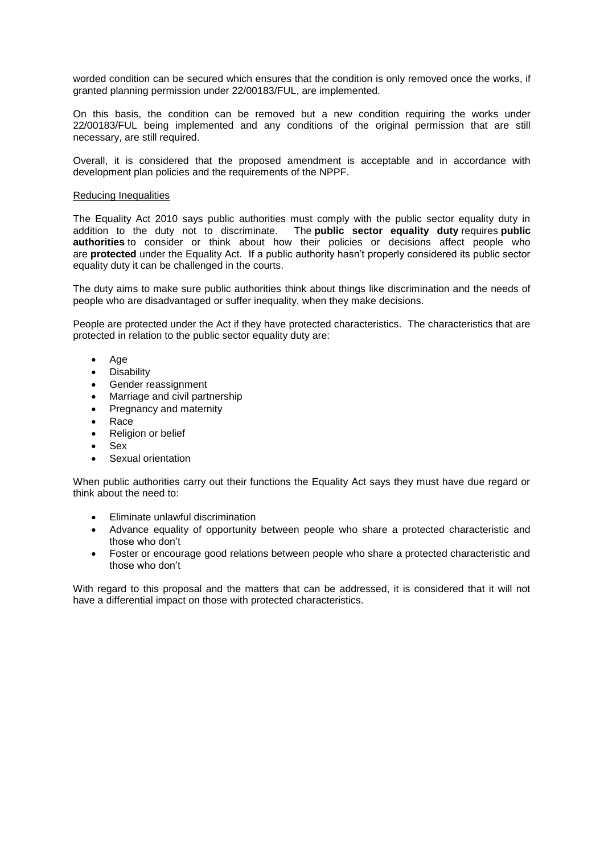worded condition can be secured which ensures that the condition is only removed once the works, if granted planning permission under 22/00183/FUL, are implemented.

On this basis, the condition can be removed but a new condition requiring the works under 22/00183/FUL being implemented and any conditions of the original permission that are still necessary, are still required.

Overall, it is considered that the proposed amendment is acceptable and in accordance with development plan policies and the requirements of the NPPF.

## Reducing Inequalities

The Equality Act 2010 says public authorities must comply with the public sector equality duty in addition to the duty not to discriminate. The **public sector equality duty** requires **public authorities** to consider or think about how their policies or decisions affect people who are **protected** under the Equality Act. If a public authority hasn't properly considered its public sector equality duty it can be challenged in the courts.

The duty aims to make sure public authorities think about things like discrimination and the needs of people who are disadvantaged or suffer inequality, when they make decisions.

People are protected under the Act if they have protected characteristics. The characteristics that are protected in relation to the public sector equality duty are:

- Age
- Disability
- Gender reassignment
- Marriage and civil partnership
- Pregnancy and maternity
- Race
- Religion or belief
- Sex
- Sexual orientation

When public authorities carry out their functions the Equality Act says they must have due regard or think about the need to:

- Eliminate unlawful discrimination
- Advance equality of opportunity between people who share a protected characteristic and those who don't
- Foster or encourage good relations between people who share a protected characteristic and those who don't

With regard to this proposal and the matters that can be addressed, it is considered that it will not have a differential impact on those with protected characteristics.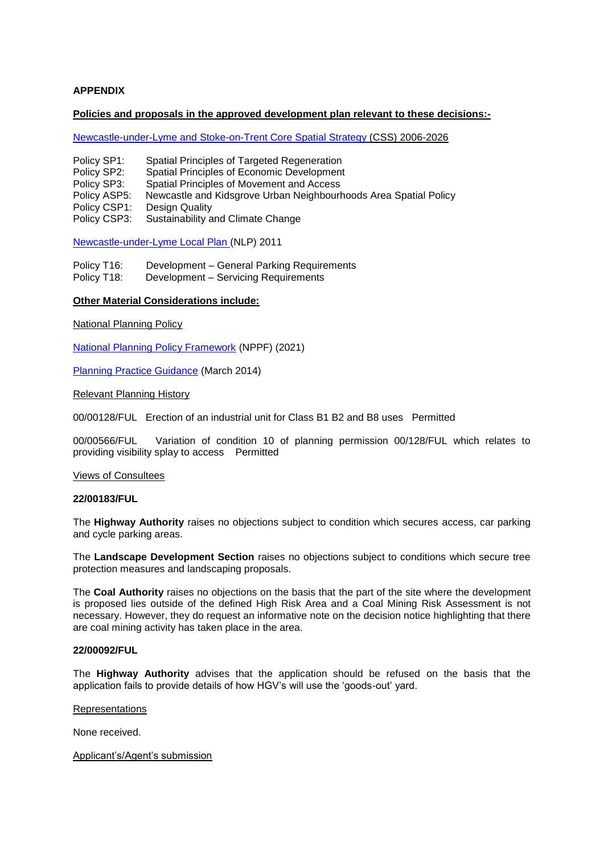# **APPENDIX**

## **Policies and proposals in the approved development plan relevant to these decisions:-**

[Newcastle-under-Lyme and Stoke-on-Trent Core Spatial Strategy \(](https://www.newcastle-staffs.gov.uk/sites/default/files/IMCE/Planning/Planning_Policy/SpatialStrategy/Core%20Strategy%20Final%20Version%20-%2028th%20October.pdf)CSS) 2006-2026

- Policy SP1: Spatial Principles of Targeted Regeneration<br>Policy SP2: Spatial Principles of Economic Development
- Spatial Principles of Economic Development
- Policy SP3: Spatial Principles of Movement and Access
- Policy ASP5: Newcastle and Kidsgrove Urban Neighbourhoods Area Spatial Policy<br>Policy CSP1: Design Quality
- **Design Quality**
- Policy CSP3: Sustainability and Climate Change

[Newcastle-under-Lyme Local Plan \(](https://www.newcastle-staffs.gov.uk/sites/default/files/IMCE/Planning/Planning_Policy/Newcastle%20Local%20Plan%202011.pdf)NLP) 2011

- Policy T16: Development General Parking Requirements
- Policy T18: Development Servicing Requirements

# **Other Material Considerations include:**

#### National Planning Policy

[National Planning Policy Framework](https://www.gov.uk/guidance/national-planning-policy-framework) (NPPF) (2021)

[Planning Practice Guidance](https://www.gov.uk/government/collections/planning-practice-guidance) (March 2014)

## Relevant Planning History

00/00128/FUL Erection of an industrial unit for Class B1 B2 and B8 uses Permitted

00/00566/FUL Variation of condition 10 of planning permission 00/128/FUL which relates to providing visibility splay to access Permitted

#### Views of Consultees

#### **22/00183/FUL**

The **Highway Authority** raises no objections subject to condition which secures access, car parking and cycle parking areas.

The **Landscape Development Section** raises no objections subject to conditions which secure tree protection measures and landscaping proposals.

The **Coal Authority** raises no objections on the basis that the part of the site where the development is proposed lies outside of the defined High Risk Area and a Coal Mining Risk Assessment is not necessary. However, they do request an informative note on the decision notice highlighting that there are coal mining activity has taken place in the area.

# **22/00092/FUL**

The **Highway Authority** advises that the application should be refused on the basis that the application fails to provide details of how HGV's will use the 'goods-out' yard.

**Representations** 

None received.

Applicant's/Agent's submission